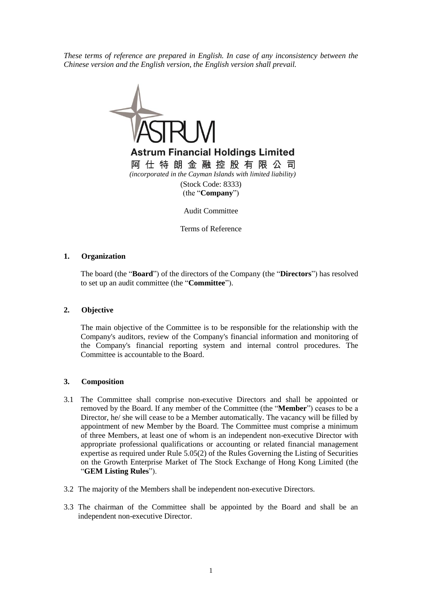*These terms of reference are prepared in English. In case of any inconsistency between the Chinese version and the English version, the English version shall prevail.*



Terms of Reference

## **1. Organization**

The board (the "**Board**") of the directors of the Company (the "**Directors**") has resolved to set up an audit committee (the "**Committee**").

## **2. Objective**

The main objective of the Committee is to be responsible for the relationship with the Company's auditors, review of the Company's financial information and monitoring of the Company's financial reporting system and internal control procedures. The Committee is accountable to the Board.

## **3. Composition**

- 3.1 The Committee shall comprise non-executive Directors and shall be appointed or removed by the Board. If any member of the Committee (the "**Member**") ceases to be a Director, he/ she will cease to be a Member automatically. The vacancy will be filled by appointment of new Member by the Board. The Committee must comprise a minimum of three Members, at least one of whom is an independent non-executive Director with appropriate professional qualifications or accounting or related financial management expertise as required under Rule 5.05(2) of the Rules Governing the Listing of Securities on the Growth Enterprise Market of The Stock Exchange of Hong Kong Limited (the "**GEM Listing Rules**").
- 3.2 The majority of the Members shall be independent non-executive Directors.
- 3.3 The chairman of the Committee shall be appointed by the Board and shall be an independent non-executive Director.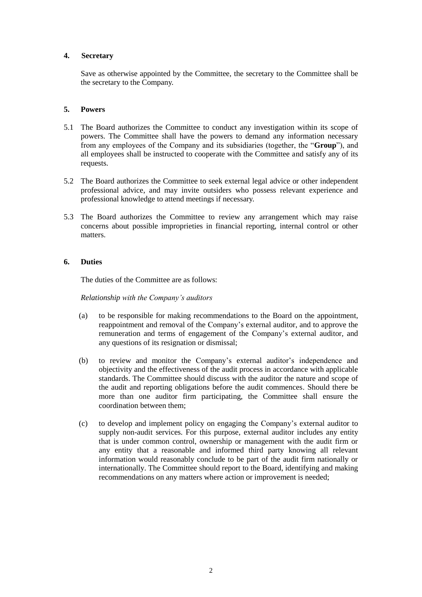## **4. Secretary**

Save as otherwise appointed by the Committee, the secretary to the Committee shall be the secretary to the Company.

## **5. Powers**

- 5.1 The Board authorizes the Committee to conduct any investigation within its scope of powers. The Committee shall have the powers to demand any information necessary from any employees of the Company and its subsidiaries (together, the "**Group**"), and all employees shall be instructed to cooperate with the Committee and satisfy any of its requests.
- 5.2 The Board authorizes the Committee to seek external legal advice or other independent professional advice, and may invite outsiders who possess relevant experience and professional knowledge to attend meetings if necessary.
- 5.3 The Board authorizes the Committee to review any arrangement which may raise concerns about possible improprieties in financial reporting, internal control or other matters.

# **6. Duties**

The duties of the Committee are as follows:

*Relationship with the Company's auditors*

- (a) to be responsible for making recommendations to the Board on the appointment, reappointment and removal of the Company's external auditor, and to approve the remuneration and terms of engagement of the Company's external auditor, and any questions of its resignation or dismissal;
- (b) to review and monitor the Company's external auditor's independence and objectivity and the effectiveness of the audit process in accordance with applicable standards. The Committee should discuss with the auditor the nature and scope of the audit and reporting obligations before the audit commences. Should there be more than one auditor firm participating, the Committee shall ensure the coordination between them;
- (c) to develop and implement policy on engaging the Company's external auditor to supply non-audit services. For this purpose, external auditor includes any entity that is under common control, ownership or management with the audit firm or any entity that a reasonable and informed third party knowing all relevant information would reasonably conclude to be part of the audit firm nationally or internationally. The Committee should report to the Board, identifying and making recommendations on any matters where action or improvement is needed;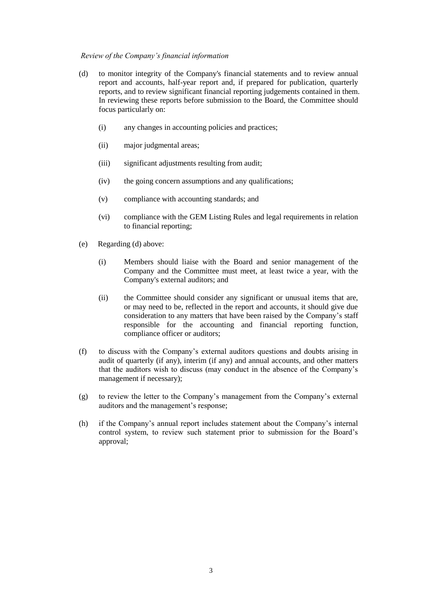### *Review of the Company's financial information*

- (d) to monitor integrity of the Company's financial statements and to review annual report and accounts, half-year report and, if prepared for publication, quarterly reports, and to review significant financial reporting judgements contained in them. In reviewing these reports before submission to the Board, the Committee should focus particularly on:
	- (i) any changes in accounting policies and practices;
	- (ii) major judgmental areas;
	- (iii) significant adjustments resulting from audit;
	- (iv) the going concern assumptions and any qualifications;
	- (v) compliance with accounting standards; and
	- (vi) compliance with the GEM Listing Rules and legal requirements in relation to financial reporting;
- (e) Regarding (d) above:
	- (i) Members should liaise with the Board and senior management of the Company and the Committee must meet, at least twice a year, with the Company's external auditors; and
	- (ii) the Committee should consider any significant or unusual items that are, or may need to be, reflected in the report and accounts, it should give due consideration to any matters that have been raised by the Company's staff responsible for the accounting and financial reporting function, compliance officer or auditors;
- (f) to discuss with the Company's external auditors questions and doubts arising in audit of quarterly (if any), interim (if any) and annual accounts, and other matters that the auditors wish to discuss (may conduct in the absence of the Company's management if necessary);
- (g) to review the letter to the Company's management from the Company's external auditors and the management's response;
- (h) if the Company's annual report includes statement about the Company's internal control system, to review such statement prior to submission for the Board's approval;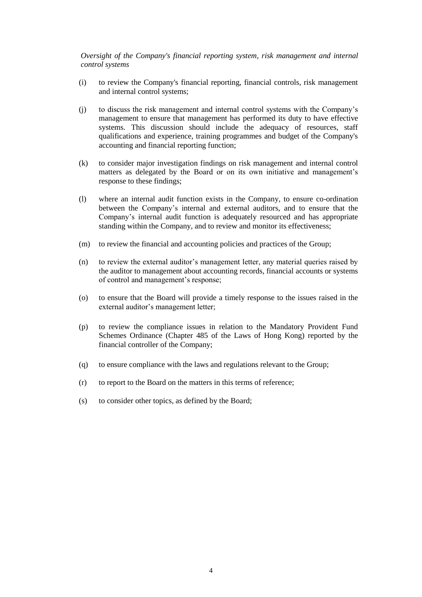*Oversight of the Company's financial reporting system, risk management and internal control systems*

- (i) to review the Company's financial reporting, financial controls, risk management and internal control systems;
- (j) to discuss the risk management and internal control systems with the Company's management to ensure that management has performed its duty to have effective systems. This discussion should include the adequacy of resources, staff qualifications and experience, training programmes and budget of the Company's accounting and financial reporting function;
- (k) to consider major investigation findings on risk management and internal control matters as delegated by the Board or on its own initiative and management's response to these findings;
- (l) where an internal audit function exists in the Company, to ensure co-ordination between the Company's internal and external auditors, and to ensure that the Company's internal audit function is adequately resourced and has appropriate standing within the Company, and to review and monitor its effectiveness;
- (m) to review the financial and accounting policies and practices of the Group;
- (n) to review the external auditor's management letter, any material queries raised by the auditor to management about accounting records, financial accounts or systems of control and management's response;
- (o) to ensure that the Board will provide a timely response to the issues raised in the external auditor's management letter;
- (p) to review the compliance issues in relation to the Mandatory Provident Fund Schemes Ordinance (Chapter 485 of the Laws of Hong Kong) reported by the financial controller of the Company;
- (q) to ensure compliance with the laws and regulations relevant to the Group;
- (r) to report to the Board on the matters in this terms of reference;
- (s) to consider other topics, as defined by the Board;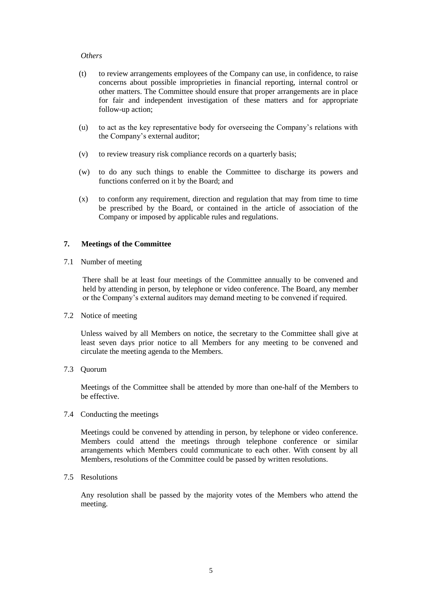#### *Others*

- (t) to review arrangements employees of the Company can use, in confidence, to raise concerns about possible improprieties in financial reporting, internal control or other matters. The Committee should ensure that proper arrangements are in place for fair and independent investigation of these matters and for appropriate follow-up action;
- (u) to act as the key representative body for overseeing the Company's relations with the Company's external auditor;
- (v) to review treasury risk compliance records on a quarterly basis;
- (w) to do any such things to enable the Committee to discharge its powers and functions conferred on it by the Board; and
- (x) to conform any requirement, direction and regulation that may from time to time be prescribed by the Board, or contained in the article of association of the Company or imposed by applicable rules and regulations.

## **7. Meetings of the Committee**

7.1 Number of meeting

There shall be at least four meetings of the Committee annually to be convened and held by attending in person, by telephone or video conference. The Board, any member or the Company's external auditors may demand meeting to be convened if required.

7.2 Notice of meeting

Unless waived by all Members on notice, the secretary to the Committee shall give at least seven days prior notice to all Members for any meeting to be convened and circulate the meeting agenda to the Members.

7.3 Quorum

Meetings of the Committee shall be attended by more than one-half of the Members to be effective.

7.4 Conducting the meetings

Meetings could be convened by attending in person, by telephone or video conference. Members could attend the meetings through telephone conference or similar arrangements which Members could communicate to each other. With consent by all Members, resolutions of the Committee could be passed by written resolutions.

7.5 Resolutions

Any resolution shall be passed by the majority votes of the Members who attend the meeting.